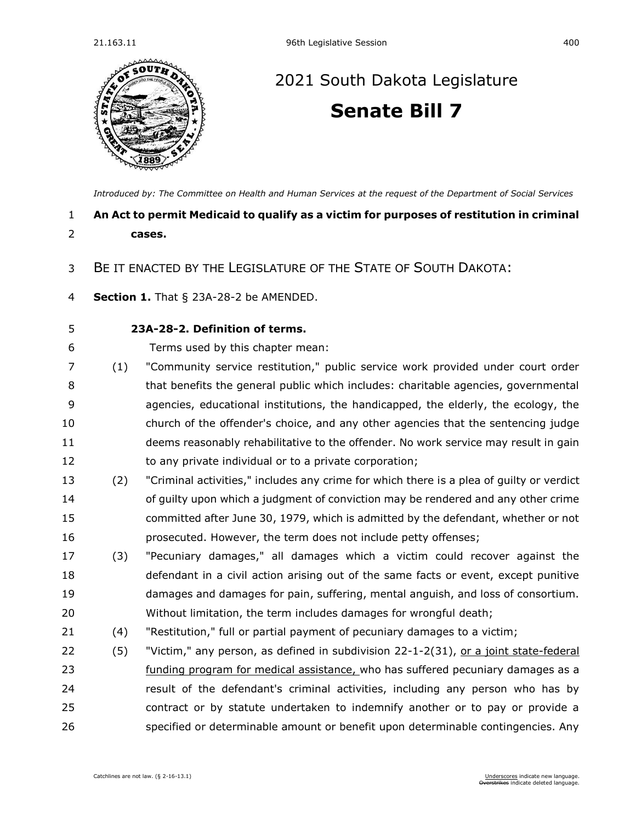

## [2021 South Dakota Legislature](https://sdlegislature.gov/Session/Bills/44) **[Senate Bill 7](https://sdlegislature.gov/Session/Bill/21880)**

*[Introduced by: The Committee on Health and Human Services](https://sdlegislature.gov/Session/Committee/508/Detail) at the request of the Department of Social Services*

## **An Act to permit Medicaid to qualify as a victim for purposes of restitution in criminal cases.**

## BE IT ENACTED BY THE LEGISLATURE OF THE STATE OF SOUTH DAKOTA:

**Section 1.** [That § 23A-28-2 be AMENDED.](https://sdlegislature.gov/Statutes/Codified_Laws/DisplayStatute.aspx?Type=Statute&Statute=23A-28-2)

## **[23A-28-2. D](https://sdlegislature.gov/Statutes/Codified_Laws/DisplayStatute.aspx?Type=Statute&Statute=23A-28-2)efinition of terms.**

- Terms used by this chapter mean:
- (1) "Community service restitution," public service work provided under court order that benefits the general public which includes: charitable agencies, governmental agencies, educational institutions, the handicapped, the elderly, the ecology, the church of the offender's choice, and any other agencies that the sentencing judge deems reasonably rehabilitative to the offender. No work service may result in gain 12 to any private individual or to a private corporation;
- (2) "Criminal activities," includes any crime for which there is a plea of guilty or verdict of guilty upon which a judgment of conviction may be rendered and any other crime committed after June 30, 1979, which is admitted by the defendant, whether or not prosecuted. However, the term does not include petty offenses;
- (3) "Pecuniary damages," all damages which a victim could recover against the defendant in a civil action arising out of the same facts or event, except punitive damages and damages for pain, suffering, mental anguish, and loss of consortium. Without limitation, the term includes damages for wrongful death;
- (4) "Restitution," full or partial payment of pecuniary damages to a victim;
- 22 (5) "Victim," any person, as defined in subdivision [22-1-2\(](https://sdlegislature.gov/Statutes/Codified_Laws/DisplayStatute.aspx?Type=Statute&Statute=22-1-2)31), or a joint state-federal funding program for medical assistance, who has suffered pecuniary damages as a result of the defendant's criminal activities, including any person who has by contract or by statute undertaken to indemnify another or to pay or provide a specified or determinable amount or benefit upon determinable contingencies. Any